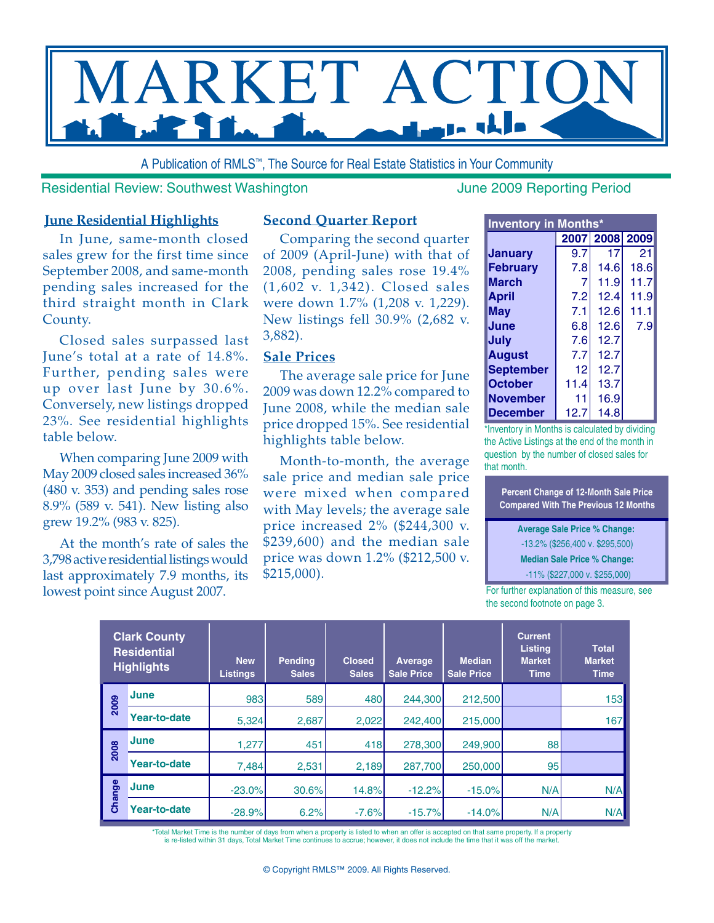

A Publication of RMLS™, The Source for Real Estate Statistics in Your Community

Residential Review: Southwest Washington Manuel Music Supervisory June 2009 Reporting Period

#### **June Residential Highlights**

In June, same-month closed sales grew for the first time since September 2008, and same-month pending sales increased for the third straight month in Clark County.

Closed sales surpassed last June's total at a rate of 14.8%. Further, pending sales were up over last June by 30.6%. Conversely, new listings dropped 23%. See residential highlights table below.

When comparing June 2009 with May 2009 closed sales increased 36% (480 v. 353) and pending sales rose 8.9% (589 v. 541). New listing also grew 19.2% (983 v. 825).

At the month's rate of sales the 3,798 active residential listings would last approximately 7.9 months, its lowest point since August 2007.

#### **Second Quarter Report**

Comparing the second quarter of 2009 (April-June) with that of 2008, pending sales rose 19.4% (1,602 v. 1,342). Closed sales were down 1.7% (1,208 v. 1,229). New listings fell 30.9% (2,682 v. 3,882).

#### **Sale Prices**

The average sale price for June 2009 was down 12.2% compared to June 2008, while the median sale price dropped 15%. See residential highlights table below.

Month-to-month, the average sale price and median sale price were mixed when compared with May levels; the average sale price increased 2% (\$244,300 v. \$239,600) and the median sale price was down 1.2% (\$212,500 v. \$215,000).

| <b>Inventory in Months*</b> |      |                |      |  |  |  |  |  |  |  |  |  |
|-----------------------------|------|----------------|------|--|--|--|--|--|--|--|--|--|
|                             |      | 2007 2008 2009 |      |  |  |  |  |  |  |  |  |  |
| Januarv                     | 9.7  | 17             | 21   |  |  |  |  |  |  |  |  |  |
| <b>February</b>             | 7.8  | 14.6           | 18.6 |  |  |  |  |  |  |  |  |  |
| <b>March</b>                | 7    | 11.9           | 11.7 |  |  |  |  |  |  |  |  |  |
| <b>April</b>                | 7.2  | 12.4           | 11.9 |  |  |  |  |  |  |  |  |  |
| May                         | 7.1  | 12.6           | 11.1 |  |  |  |  |  |  |  |  |  |
| June                        | 6.8  | 12.6           | 7.9  |  |  |  |  |  |  |  |  |  |
| July                        | 7.6  | 12.7           |      |  |  |  |  |  |  |  |  |  |
| <b>August</b>               | 7.7  | 12.7           |      |  |  |  |  |  |  |  |  |  |
| <b>September</b>            | 12   | 12.7           |      |  |  |  |  |  |  |  |  |  |
| <b>October</b>              | 11.4 | 13.7           |      |  |  |  |  |  |  |  |  |  |
| <b>November</b>             | 11   | 16.9           |      |  |  |  |  |  |  |  |  |  |
| <b>December</b>             | 12.7 | 14.8           |      |  |  |  |  |  |  |  |  |  |

\*Inventory in Months is calculated by dividing the Active Listings at the end of the month in question by the number of closed sales for that month.

**Percent Change of 12-Month Sale Price Compared With The Previous 12 Months**

**Average Sale Price % Change:**  -13.2% (\$256,400 v. \$295,500) **Median Sale Price % Change:**

-11% (\$227,000 v. \$255,000)

For further explanation of this measure, see the second footnote on page 3.

| <b>Clark County</b><br><b>Residential</b><br><b>Highlights</b> |                     | <b>New</b><br>Listings | <b>Pending</b><br><b>Sales</b> | <b>Closed</b><br><b>Sales</b> | Average<br><b>Sale Price</b> | <b>Median</b><br><b>Sale Price</b> | <b>Current</b><br>Listing<br><b>Market</b><br><b>Time</b> | <b>Total</b><br><b>Market</b><br><b>Time</b> |
|----------------------------------------------------------------|---------------------|------------------------|--------------------------------|-------------------------------|------------------------------|------------------------------------|-----------------------------------------------------------|----------------------------------------------|
| 2009                                                           | <b>June</b>         | 983                    | 589                            | 480                           | 244,300                      | 212,500                            |                                                           | 153                                          |
|                                                                | Year-to-date        | 5,324                  | 2,687                          | 2,022                         | 242,400                      | 215,000                            |                                                           | 167                                          |
| 2008                                                           | June                | 1,277                  | 451                            | 418                           | 278,300                      | 249,900                            | 88                                                        |                                              |
|                                                                | Year-to-date        | 7,484                  | 2,531                          | 2,189                         | 287,700                      | 250,000                            | 95                                                        |                                              |
| Change                                                         | <b>June</b>         | $-23.0%$               | 30.6%                          | 14.8%                         | $-12.2%$                     | $-15.0%$                           | N/A                                                       | N/A                                          |
|                                                                | <b>Year-to-date</b> | $-28.9%$               | 6.2%                           | $-7.6%$                       | $-15.7%$                     | $-14.0%$                           | N/A                                                       | N/A                                          |

\*Total Market Time is the number of days from when a property is listed to when an offer is accepted on that same property. If a property<br>is re-listed within 31 days, Total Market Time continues to accrue; however, it does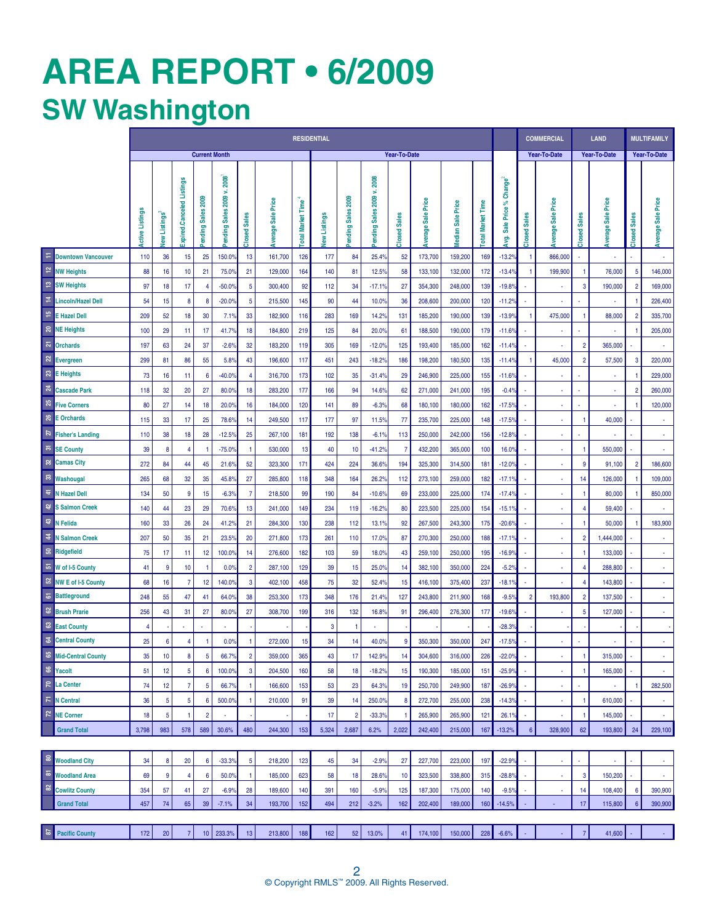# **AREa REPORT • 6/2009 SW Washington**

|                             |                                   | <b>RESIDENTIAL</b>   |                  |                          |                                 |                                             |                         |                      |                                   |              |                             |                                             |                               |                      |                     | <b>COMMERCIAL</b>        |                                            | <b>LAND</b>                   |                       | <b>MULTIFAMILY</b>     |                   |                        |                           |
|-----------------------------|-----------------------------------|----------------------|------------------|--------------------------|---------------------------------|---------------------------------------------|-------------------------|----------------------|-----------------------------------|--------------|-----------------------------|---------------------------------------------|-------------------------------|----------------------|---------------------|--------------------------|--------------------------------------------|-------------------------------|-----------------------|------------------------|-------------------|------------------------|---------------------------|
|                             |                                   | <b>Current Month</b> |                  |                          |                                 | Year-To-Date                                |                         |                      |                                   |              |                             |                                             |                               |                      | <b>Year-To-Date</b> |                          | <b>Year-To-Date</b>                        |                               | Year-To-Date          |                        |                   |                        |                           |
|                             |                                   | Active Listings      | lew Listings     | cpired.Canceled Listings | 2009<br><b>Sales</b><br>Pending | 2008<br>×<br>2009<br><b>Sales</b><br>ending | <b>Sales</b><br>Closed: | Sale Price<br>verage | <b>Time</b><br><b>otal Market</b> | lew Listings | <b>Sales 2009</b><br>ending | 2008<br>s<br>2009<br><b>Sales</b><br>ending | <b>Sales</b><br><b>Closed</b> | Sale Price<br>verage | Sale Price<br>edian | <b>Cotal Market Time</b> | Change <sup>2</sup><br>Sale Price%<br>క్తా | <b>Sales</b><br><b>Closed</b> | Sale Price<br>Werage: | <b>Sales</b><br>Closed | verage Sale Price | <b>Sales</b><br>Closed | <b>Average Sale Price</b> |
| Ξ                           | <b>Downtown Vancouver</b>         | 110                  | 36               | 15                       | 25                              | 150.09                                      | 13                      | 161,700              | 126                               | 177          | 84                          | 25.49                                       | 52                            | 173,700              | 159,200             | 169                      | $-13.29$                                   | -1                            | 866,000               | $\sim$                 |                   |                        | $\mathbf{r}$              |
| $\overline{\mathbf{r}}$     | <b>NW Heights</b>                 | 88                   | 16               | 10                       | 21                              | 75.0%                                       | 21                      | 129,000              | 164                               | 140          | 81                          | 12.5%                                       | 58                            | 133,100              | 132,000             | 172                      | $-13.4%$                                   |                               | 199,900               | 1                      | 76,000            | 5                      | 146,000                   |
| $\boldsymbol{\mathfrak{e}}$ | <b>SW Heights</b>                 | 97                   | 18               | 17                       | $\overline{4}$                  | $-50.0$                                     | 5                       | 300,400              | 92                                | 112          | 34                          | $-17.1%$                                    | 27                            | 354,300              | 248,000             | 139                      | $-19.89$                                   |                               | $\sim$                | 3                      | 190,000           | $\overline{2}$         | 169,000                   |
| $\Xi$                       | <b>Lincoln/Hazel Dell</b>         | 54                   | 15               | $\boldsymbol{8}$         | 8                               | $-20.0%$                                    | 5                       | 215,500              | 145                               | 90           | 44                          | 10.0%                                       | 36                            | 208,600              | 200,000             | 120                      | $-11.2%$                                   |                               | $\alpha$              |                        |                   |                        | 226,400                   |
| $\frac{16}{2}$              | <b>E Hazel Dell</b>               | 209                  | 52               | 18                       | 30                              | 7.1%                                        | 33                      | 182,900              | 116                               | 283          | 169                         | 14.2%                                       | 131                           | 185,200              | 190,000             | 139                      | $-13.9%$                                   | -1                            | 475,000               |                        | 88,000            | $\overline{2}$         | 335,700                   |
|                             | <b>R</b> NE Heights               | 100                  | 29               | 11                       | 17                              | 41.7%                                       | 18                      | 184,800              | 219                               | 125          | 84                          | 20.0%                                       | 61                            | 188,500              | 190,000             | 179                      | $-11.6%$                                   |                               | $\sim$                |                        |                   |                        | 205,000                   |
| $\overline{\mathbf{z}}$     | <b>Orchards</b>                   | 197                  | 63               | 24                       | 37                              | $-2.6%$                                     | 32                      | 183,200              | 119                               | 305          | 169                         | $-12.0%$                                    | 125                           | 193,400              | 185,000             | 162                      | $-11.4%$                                   |                               |                       | $\overline{2}$         | 365,000           |                        |                           |
| $\boldsymbol{z}$            | <b>Evergreen</b>                  | 299                  | 81               | 86                       | 55                              | 5.8%                                        | 43                      | 196,600              | 117                               | 451          | 243                         | $-18.2%$                                    | 186                           | 198,200              | 180,500             | 135                      | $-11.49$                                   |                               | 45,000                | $\overline{2}$         | 57,500            | 3                      | 220,000                   |
| $\mathbb{S}^2$              | <b>E</b> Heights                  | 73                   | 16               | 11                       | 6                               | $-40.0%$                                    | 4                       | 316,700              | 173                               | 102          | 35                          | $-31.4%$                                    | 29                            | 246,900              | 225,000             | 155                      | $-11.6%$                                   |                               | $\alpha$              |                        |                   |                        | 229,000                   |
| $\boldsymbol{z}$            | <b>Cascade Park</b>               | 118                  | 32               | 20                       | 27                              | 80.0%                                       | 18                      | 283,200              | 177                               | 166          | 94                          | 14.6%                                       | 62                            | 271,000              | 241,000             | 195                      | $-0.49$                                    |                               | $\sim$                | $\sim$                 | $\sim$            | $\overline{2}$         | 260,000                   |
| $\mathbb{Z}$                | <b>Five Corners</b>               | 80                   | 27               | 14                       | 18                              | 20.0%                                       | 16                      | 184,000              | 120                               | 141          | 89                          | $-6.3%$                                     | 68                            | 180,100              | 180,000             | 162                      | $-17.5%$                                   |                               | ×.                    |                        |                   |                        | 120,000                   |
| 26                          | <b>E</b> Orchards                 | 115                  | 33               | 17                       | 25                              | 78.6%                                       | 14                      | 249,500              | 117                               | 177          | 97                          | 11.5%                                       | 77                            | 235,700              | 225,000             | 148                      | $-17.59$                                   |                               | $\alpha$              |                        | 40,000            |                        | $\alpha$                  |
| $\overline{z}$              | <b>Fisher's Landing</b>           | 110                  | 38               | 18                       | 28                              | $-12.5%$                                    | 25                      | 267,100              | 181                               | 192          | 138                         | $-6.1%$                                     | 113                           | 250,000              | 242,000             | 156                      | $-12.89$                                   |                               | $\blacksquare$        |                        |                   |                        | $\mathbf{r}$              |
| $\overline{\omega}$         | <b>SE County</b>                  | 39                   | 8                | 4                        | -1                              | $-75.0$                                     | -1                      | 530,000              | 13                                | 40           | 10                          | $-41.2%$                                    | 7                             | 432,200              | 365,000             | 100                      | 16.0%                                      |                               | $\sim$                |                        | 550,000           |                        | ÷.                        |
| 32                          | <b>Camas City</b>                 | 272                  | 84               | 44                       | 45                              | 21.69                                       | 52                      | 323,300              | 171                               | 424          | 224                         | 36.6%                                       | 194                           | 325,300              | 314,500             | 181                      | $-12.0$                                    |                               | $\alpha$              | 9                      | 91,100            | $\overline{2}$         | 186,600                   |
| ន                           | Washougal                         | 265                  | 68               | 32                       | 35                              | 45.8%                                       | 27                      | 285,800              | 118                               | 348          | 164                         | 26.2%                                       | 112                           | 273,100              | 259,000             | 182                      | $-17.19$                                   |                               |                       | 14                     | 126,000           | -1                     | 109,000                   |
| 互                           | N Hazel Dell                      | 134                  | 50               | 9                        | 15                              | $-6.3%$                                     | $\overline{7}$          | 218,500              | 99                                | 190          | 84                          | $-10.6%$                                    | 69                            | 233,000              | 225,000             | 174                      | $-17.49$                                   |                               | $\alpha$              | 1                      | 80,000            |                        | 850,000                   |
| $42$                        | <b>S Salmon Creek</b>             | 140                  | 44               | 23                       | 29                              | 70.6%                                       | 13                      | 241,000              | 149                               | 234          | 119                         | $-16.2%$                                    | 80                            | 223,500              | 225,000             | 154                      | $-15.19$                                   |                               | $\blacksquare$        | 4                      | 59,400            |                        |                           |
| $\mathfrak{S}$              | N Felida                          | 160                  | 33               | 26                       | 24                              | 41.2%                                       | 21                      | 284,300              | 130                               | 238          | 112                         | 13.1%                                       | 92                            | 267,500              | 243,300             | 175                      | $-20.6%$                                   |                               | $\blacksquare$        | -1                     | 50,000            | -1                     | 183,900                   |
| $\ddot{a}$                  | <b>N Salmon Creek</b>             | 207                  | 50               | 35                       | 21                              | 23.5%                                       | 20                      | 271,800              | 173                               | 261          | 110                         | 17.0%                                       | 87                            | 270,300              | 250,000             | 188                      | $-17.19$                                   |                               | $\alpha$              | $\overline{2}$         | 1,444,000         |                        |                           |
| ន                           | Ridgefield                        | 75                   | 17               | 11                       | 12                              | 100.0%                                      | 14                      | 276,600              | 182                               | 103          | 59                          | 18.0%                                       | 43                            | 259,100              | 250,000             | 195                      | $-16.9%$                                   |                               | $\alpha$              |                        | 133,000           |                        | ÷.                        |
| $\overline{\mathfrak{s}}$   | W of I-5 County                   | 41                   | 9                | 10                       | -1                              | 0.0%                                        | $\overline{2}$          | 287,100              | 129                               | 39           | 15                          | 25.0%                                       | 14                            | 382,100              | 350,000             | 224                      | $-5.2%$                                    |                               | $\blacksquare$        | 4                      | 288,800           |                        | $\mathbf{r}$              |
|                             | <mark>여 NW E of I-5 County</mark> | 68                   | 16               | 7                        | 12                              | 140.09                                      | 3                       | 402,100              | 458                               | 75           | 32                          | 52.4%                                       | 15                            | 416,100              | 375,400             | 237                      | $-18.19$                                   |                               | $\sim$                | 4                      | 143,800           |                        | $\omega$                  |
| $\overline{\bullet}$        | <b>Battleground</b>               | 248                  | 55               | 47                       | 41                              | 64.0%                                       | 38                      | 253,300              | 173                               | 348          | 176                         | 21.4%                                       | 127                           | 243,800              | 211,900             | 168                      | $-9.5%$                                    | $\overline{2}$                | 193,800               | $\overline{2}$         | 137,500           |                        | $\mathbf{r}$              |
| 62                          | <b>Brush Prarie</b>               | 256                  | 43               | 31                       | 27                              | 80.0%                                       | 27                      | 308,700              | 199                               | 316          | 132                         | 16.8%                                       | 91                            | 296,400              | 276,300             | 177                      | $-19.6%$                                   |                               | $\sim$                | 5                      | 127,000           |                        | $\omega$                  |
| $\mathbbmss{3}$             | <b>East County</b>                | $\overline{4}$       |                  |                          |                                 |                                             |                         |                      |                                   | 3            |                             |                                             |                               |                      |                     |                          | $-28.3$                                    |                               |                       |                        |                   |                        |                           |
| $\mathfrak{A}$              | <b>Central County</b>             | 25                   | 6                | 4                        | -1                              | 0.0%                                        |                         | 272,000              | 15                                | 34           | 14                          | 40.0%                                       | 9                             | 350,300              | 350,000             | 247                      | $-17.5%$                                   |                               | $\sim$                | ×                      |                   |                        | $\blacksquare$            |
|                             | <b>B</b> Mid-Central County       | 35                   | 10 <sub>10</sub> | 8                        | 5                               | 66.7%                                       | $\overline{2}$          | 359,000              | 365                               | 43           | 17                          | 142.9%                                      | 14                            | 304,600              | 316,000             | 226                      | $-22.0%$                                   |                               | $\blacksquare$        | -1                     | 315,000           |                        | $\mathbf{r}$              |
| 8                           | Yacolt                            | 51                   | 12 <sup>2</sup>  | 5                        | 6                               | 100.0%                                      | 3                       | 204,500              | 160                               | 58           | 18                          | $-18.2%$                                    | 15                            | 190,300              | 185,000             | 151                      | $-25.9%$                                   |                               | $\omega$              | -1                     | 165,000           |                        | $\omega$                  |
| $\mathcal{L}$               | <b>La Center</b>                  | 74                   | 12               | $\overline{7}$           | 5                               | 66.7%                                       |                         | 166,600              | 153                               | 53           | 23                          | 64.3%                                       | 19                            | 250,700              | 249,900             | 187                      | $-26.9%$                                   |                               | $\blacksquare$        |                        |                   |                        | 282,500                   |
| $\overline{\kappa}$         | <b>N</b> Central                  | 36                   | 5                | 5                        | 6                               | 500.0%                                      | -1                      | 210,000              | 91                                | 39           | 14                          | 250.0%                                      | 8                             | 272,700              | 255,000             | 238                      | $-14.3%$                                   |                               | $\blacksquare$        |                        | 610,000           |                        | $\blacksquare$            |
| $\overline{z}$              | <b>NE Corner</b>                  | 18                   | 5                | -1                       | $\overline{2}$                  |                                             |                         |                      |                                   | 17           | $\overline{2}$              | $-33.3%$                                    |                               | 265,900              | 265,900             | 121                      | 26.19                                      |                               |                       |                        | 145,000           |                        | $\alpha$                  |
|                             | <b>Grand Total</b>                | 3,798                | 983              | 578                      | 589                             | 30.6%                                       | 480                     | 244,300              | 153                               | 5,324        | 2,687                       | 6.2%                                        | 2,022                         | 242,400              | 215,000             | 167                      | $-13.2%$                                   | $6\phantom{1}6$               | 328,900               | 62                     | 193,800           | 24                     | 229,100                   |
|                             |                                   |                      |                  |                          |                                 |                                             |                         |                      |                                   |              |                             |                                             |                               |                      |                     |                          |                                            |                               |                       |                        |                   |                        |                           |
| 8                           | <b>Woodland City</b>              | 34                   | 8                | 20                       | 6                               | $-33.3%$                                    | 5                       | 218,200              | 123                               | 45           | 34                          | $-2.9%$                                     | 27                            | 227,700              | 223,000             | 197                      | $-22.9%$                                   |                               | $\sim$                |                        |                   |                        | ×.                        |
| 高                           | <b>Woodland Area</b>              | 69                   | 9                | 4                        | 6                               | 50.0%                                       | -1                      | 185,000              | 623                               | 58           | 18                          | 28.6%                                       | 10                            | 323,500              | 338,800             | 315                      | $-28.8%$                                   |                               | $\alpha$              | 3                      | 150,200           |                        | $\sim$                    |
| 82                          | <b>Cowlitz County</b>             | 354                  | 57               | 41                       | 27                              | $-6.9%$                                     | 28                      | 189,600              | 140                               | 391          | 160                         | $-5.9%$                                     | 125                           | 187,300              | 175,000             | 140                      | $-9.5%$                                    |                               |                       | 14                     | 108,400           | 6                      | 390,900                   |
|                             | <b>Grand Total</b>                | 457                  | 74               | 65                       | 39                              | $-7.1%$                                     | 34                      | 193,700              | 152                               | 494          | 212                         | $-3.2%$                                     | 162                           | 202,400              | 189,000             | 160                      | $-14.5%$                                   |                               |                       | 17                     | 115,800           | $6\phantom{1}6$        | 390,900                   |
| 28                          | <b>Pacific County</b>             | 172                  | 20               | $\overline{7}$           | 10                              | 233.3%                                      | 13                      | 213,800              | 188                               | 162          | 52                          | 13.0%                                       | 41                            | 174,100              | 150,000             | 228                      | $-6.6%$                                    |                               |                       | $\overline{7}$         | 41,600            |                        |                           |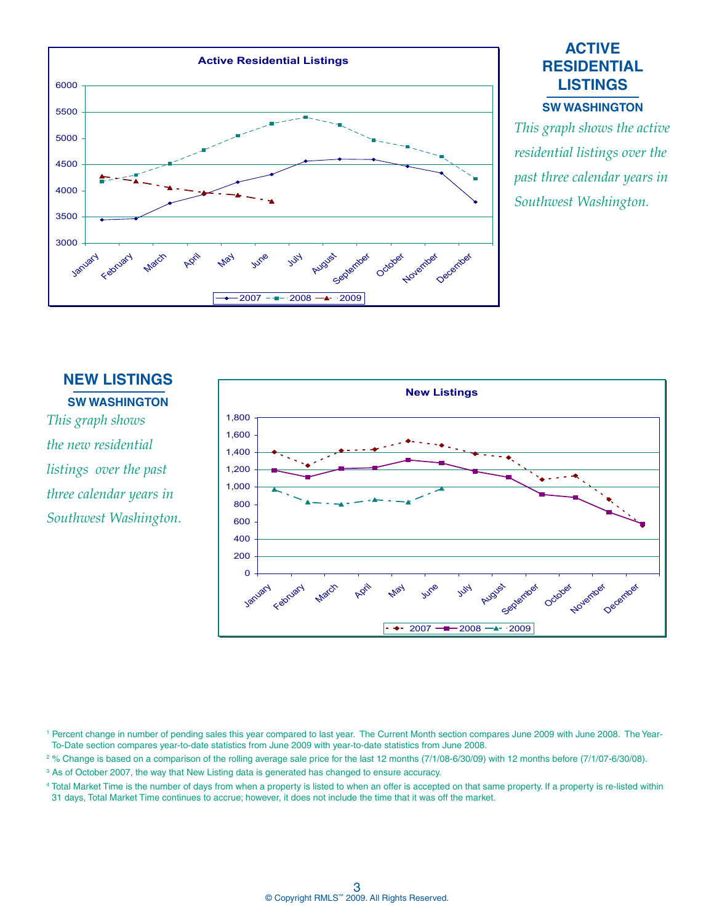

# **ACTIVE RESIDENTIAL LISTINGS**

#### **SW WasHINGTON**

*This graph shows the active residential listings over the past three calendar years in Southwest Washington.*

# **NEW LISTINGS SW WasHINGTON**

*This graph shows the new residential listings over the past three calendar years in Southwest Washington.*



<sup>1</sup> Percent change in number of pending sales this year compared to last year. The Current Month section compares June 2009 with June 2008. The Year-To-Date section compares year-to-date statistics from June 2009 with year-to-date statistics from June 2008.

2 % Change is based on a comparison of the rolling average sale price for the last 12 months (7/1/08-6/30/09) with 12 months before (7/1/07-6/30/08).

<sup>3</sup> As of October 2007, the way that New Listing data is generated has changed to ensure accuracy.

4 Total Market Time is the number of days from when a property is listed to when an offer is accepted on that same property. If a property is re-listed within 31 days, Total Market Time continues to accrue; however, it does not include the time that it was off the market.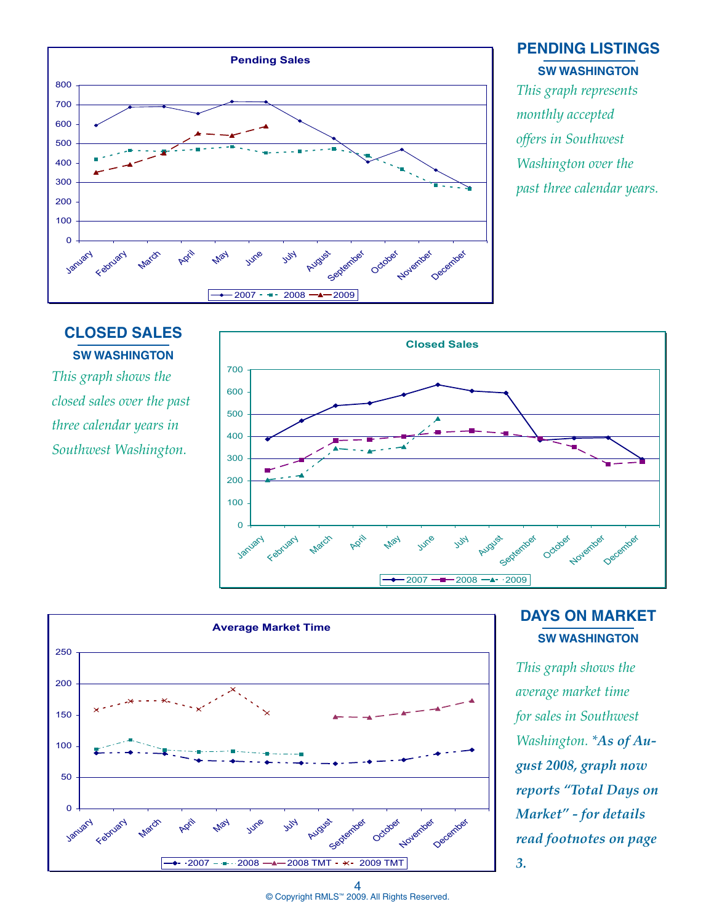

#### **PENDING LISTINGS SW WasHINGTON**

*This graph represents monthly accepted offers in Southwest Washington over the past three calendar years.*

# **CLOSED SALES SW WasHINGTON**

*This graph shows the closed sales over the past three calendar years in Southwest Washington.*





## **DAYS ON MARKET SW WasHINGTON**

*This graph shows the average market time for sales in Southwest Washington. \*As of August 2008, graph now reports "Total Days on Market" - for details read footnotes on page 3.*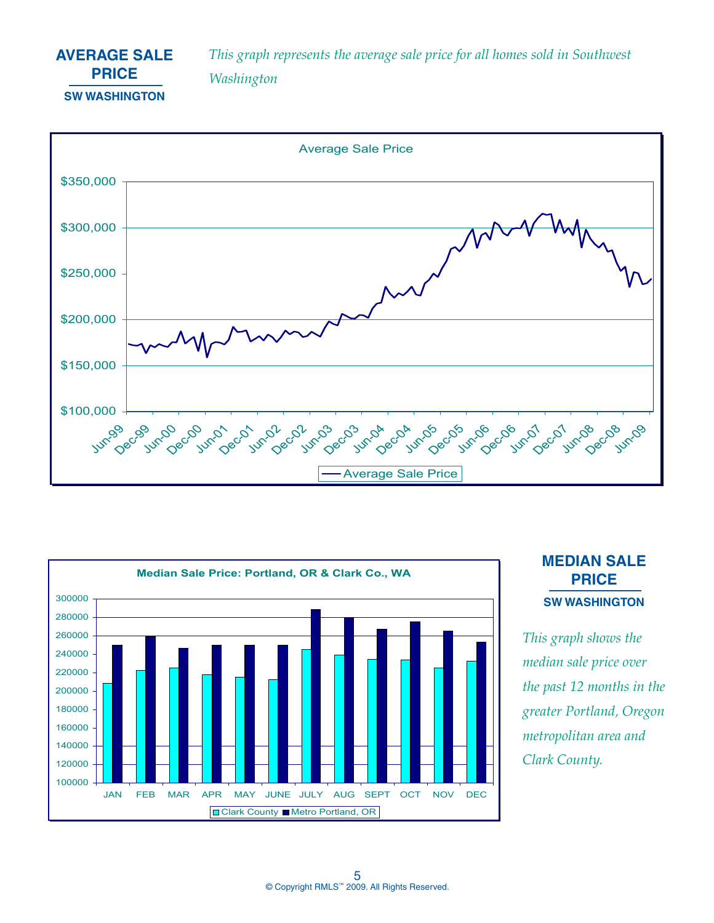## **AVERAGE SALE PRICE SW WasHINGTON**

*This graph represents the average sale price for all homes sold in Southwest Washington*





## **MEDIAN SALE PRICE SW WasHINGTON**

*This graph shows the median sale price over the past 12 months in the greater Portland, Oregon metropolitan area and Clark County.*